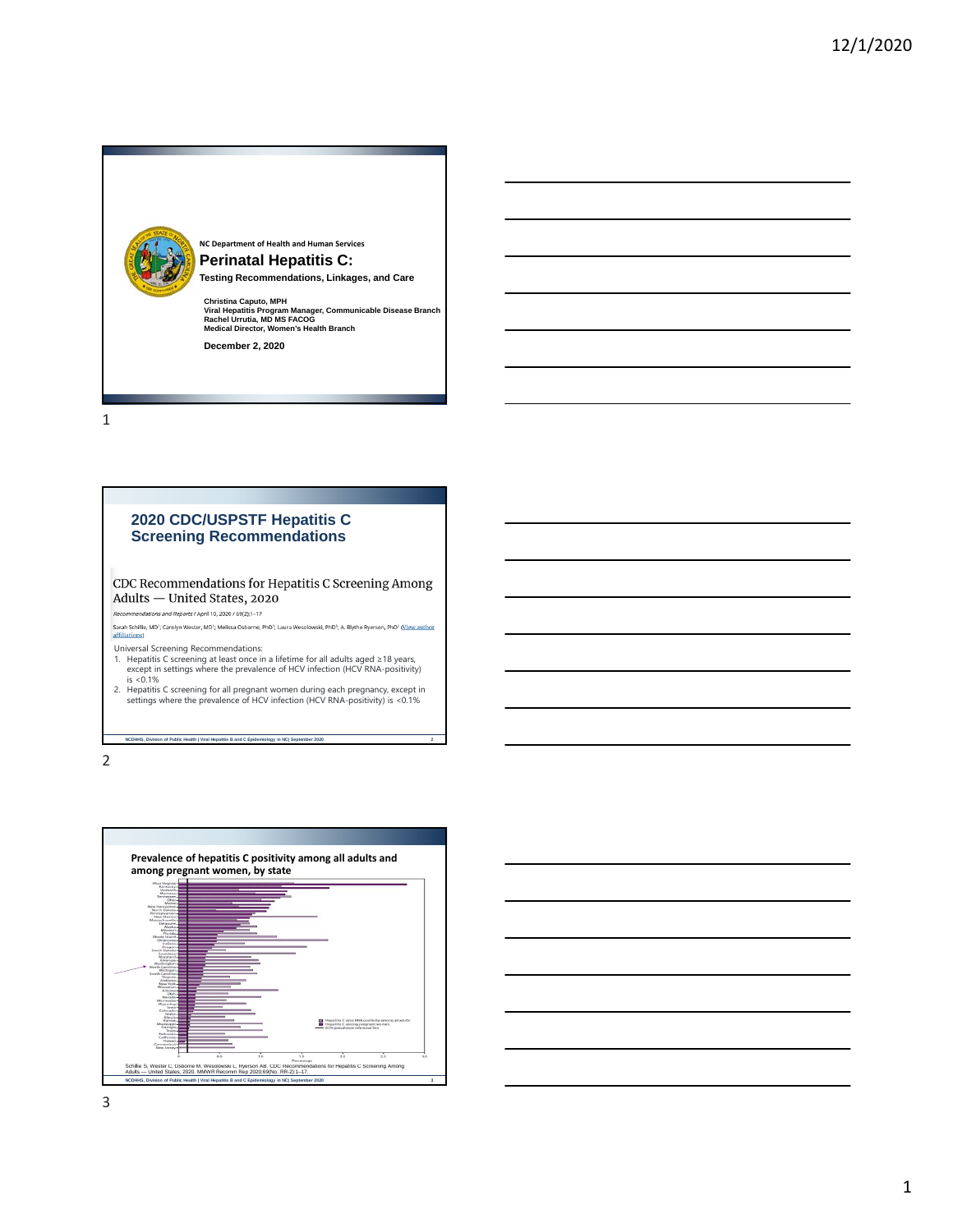

# **2020 CDC/USPSTF Hepatitis C Screening Recommendations**

CDC Recommendations for Hepatitis C Screening Among Adults - United States, 2020 i<br>dations and Reports / April 10, 2020 / 69(2);1–17

Sarah Schillie, MD<sup>1</sup>; Carolyn Wester, MD<sup>1</sup>; Melissa Osborne, PhD<sup>1</sup>; Laura Wesolowski, PhD<sup>1</sup>; A. Blythe Ryerson, PhD<sup>1</sup> (<u>View author</u><br>affiliations)

Universal Screening Recommendations:

1. Hepatitis C screening at least once in a lifetime for all adults aged ≥18 years, except in settings where the prevalence of HCV infection (HCV RNA-positivity) is <0.1%

2. Hepatitis C screening for all pregnant women during each pregnancy, except in settings where the prevalence of HCV infection (HCV RNA-positivity) is <0.1%

**NCDHHS, Division of Public Health | Viral Hepatitis B and C Epidemiology in NC| September 2020 2**



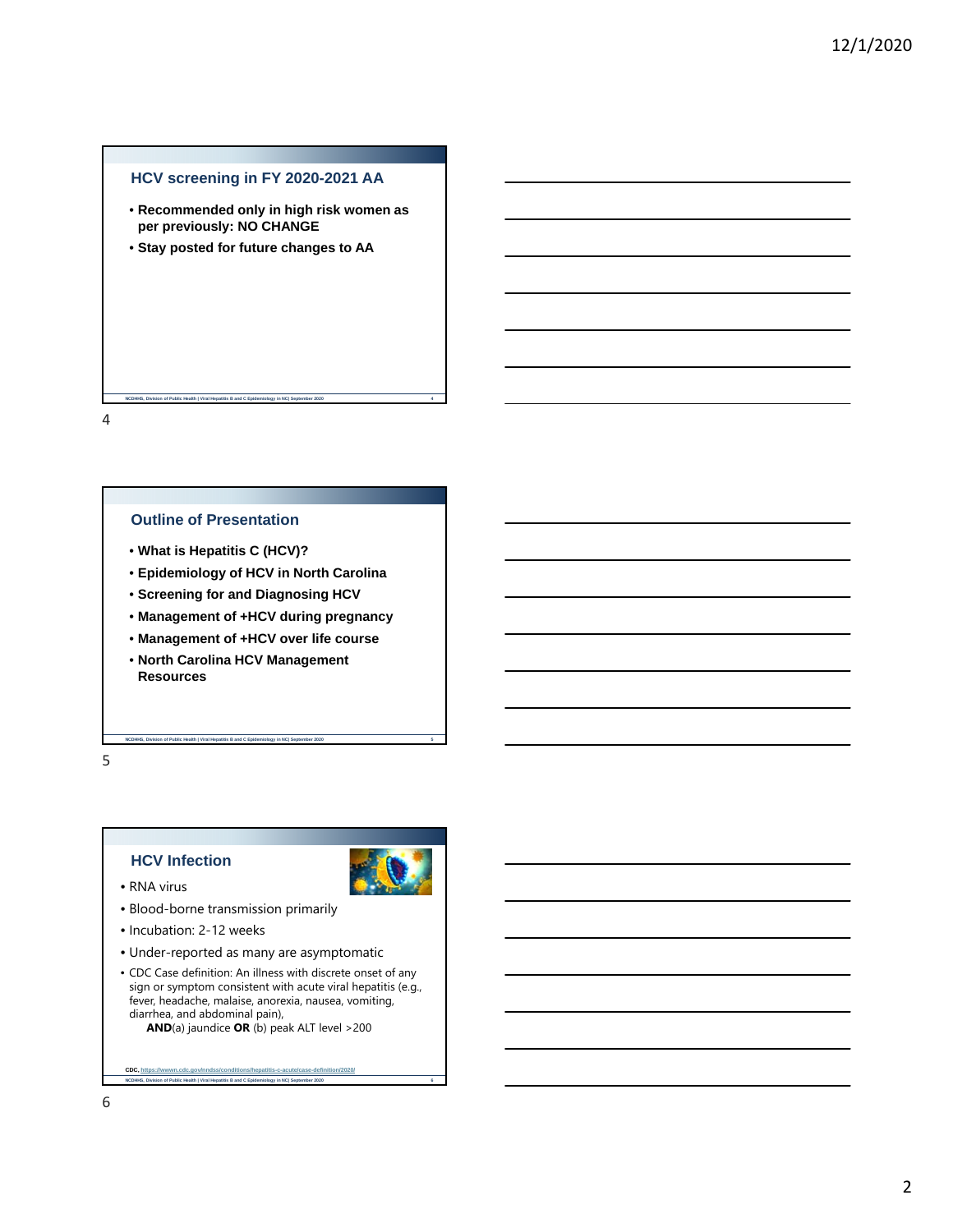## **HCV screening in FY 2020-2021 AA**

• **Recommended only in high risk women as per previously: NO CHANGE**

**NCDHHS, Division of Public Health | Viral Hepatitis B and C Epidemiology in NC| September 2020 4**

• **Stay posted for future changes to AA**

## 4

## **Outline of Presentation**

- **What is Hepatitis C (HCV)?**
- **Epidemiology of HCV in North Carolina**
- **Screening for and Diagnosing HCV**
- **Management of +HCV during pregnancy**
- **Management of +HCV over life course**
- **North Carolina HCV Management Resources**

**NC** Division of Public Health | Viral Hepatitis B and C Epidemiology in NC| September 2020

## 5

## **HCV Infection**



- RNA virus
- Blood-borne transmission primarily
- Incubation: 2-12 weeks

**NCD ACTES INCORDING HEALTH INC. And C Epidemion of Public Health | Viral Hepatitis B and C Epidemiology** 

- Under-reported as many are asymptomatic
- CDC Case definition: An illness with discrete onset of any sign or symptom consistent with acute viral hepatitis (e.g., fever, headache, malaise, anorexia, nausea, vomiting, diarrhea, and abdominal pain), **AND**(a) jaundice **OR** (b) peak ALT level >200

6

**CDC**, https://www.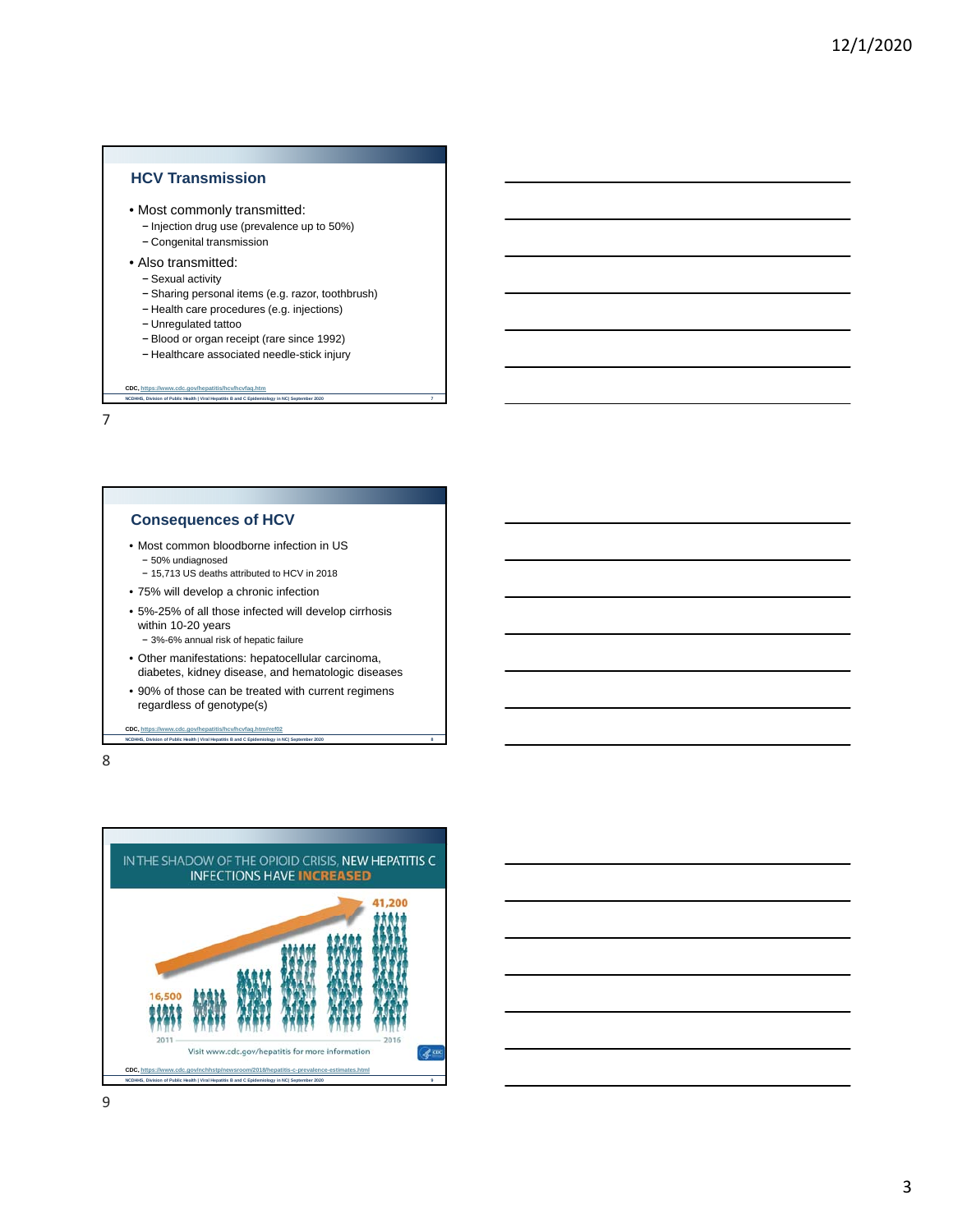## **HCV Transmission**

- Most commonly transmitted:
	- − Injection drug use (prevalence up to 50%)
	- − Congenital transmission
- Also transmitted:
	- − Sexual activity
	- − Sharing personal items (e.g. razor, toothbrush)
	- − Health care procedures (e.g. injections)
	- − Unregulated tattoo
	- − Blood or organ receipt (rare since 1992)
	- − Healthcare associated needle-stick injury

**NCDHHS, Division of Public Health | Viral Hepatitis B and C Epidemiology in NC| September 2020 7 CDC, https://www.cdc.gov/hepatitis/hcv/hcvfaq.htm**

7

#### **Consequences of HCV**

- Most common bloodborne infection in US − 50% undiagnosed
	- − 15,713 US deaths attributed to HCV in 2018
- 75% will develop a chronic infection
- 5%-25% of all those infected will develop cirrhosis within 10-20 years
	- − 3%-6% annual risk of hepatic failure
- Other manifestations: hepatocellular carcinoma, diabetes, kidney disease, and hematologic diseases
- 90% of those can be treated with current regimens regardless of genotype(s)

**NCD** S, Division of Public Health | Viral Hepatitis B and C Epidemiology in NC| September 2020 CDC, https://www.cdc.gov/hepatitis/hcv/hcvfaq.htm#

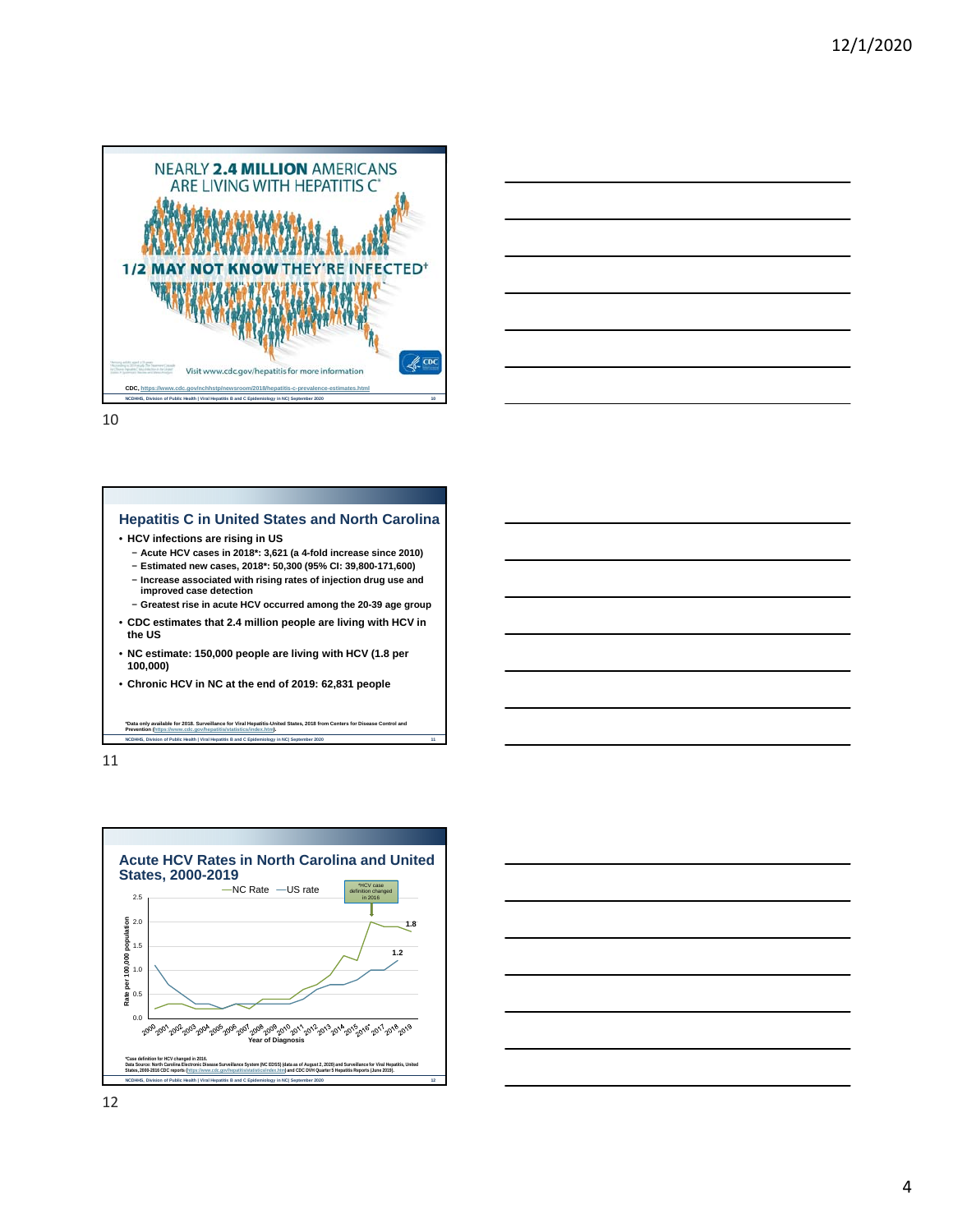



**NCDHHS, Division of Public Health | Viral Hepatitis B and C Epidemiology in NC| September 2020 11**



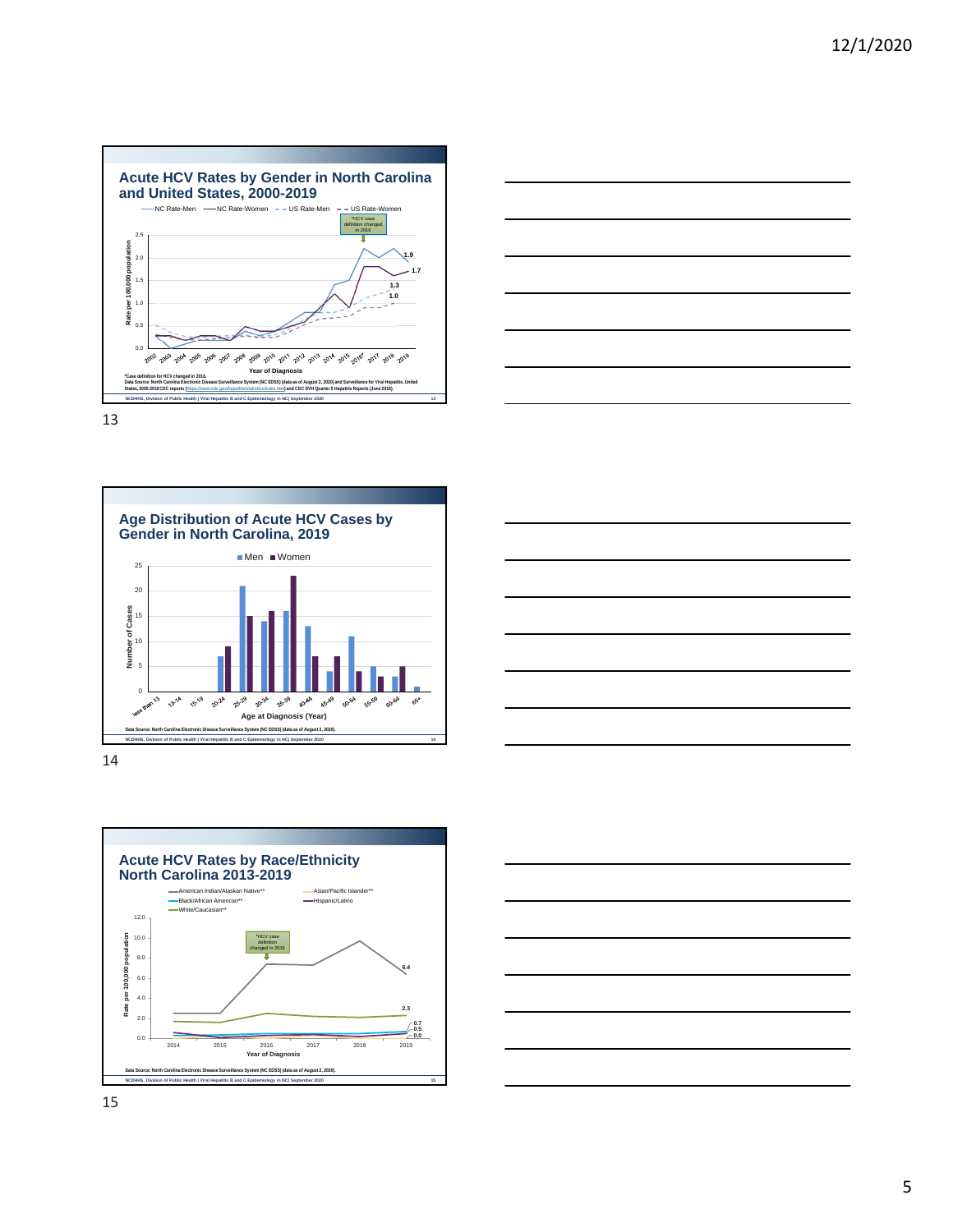









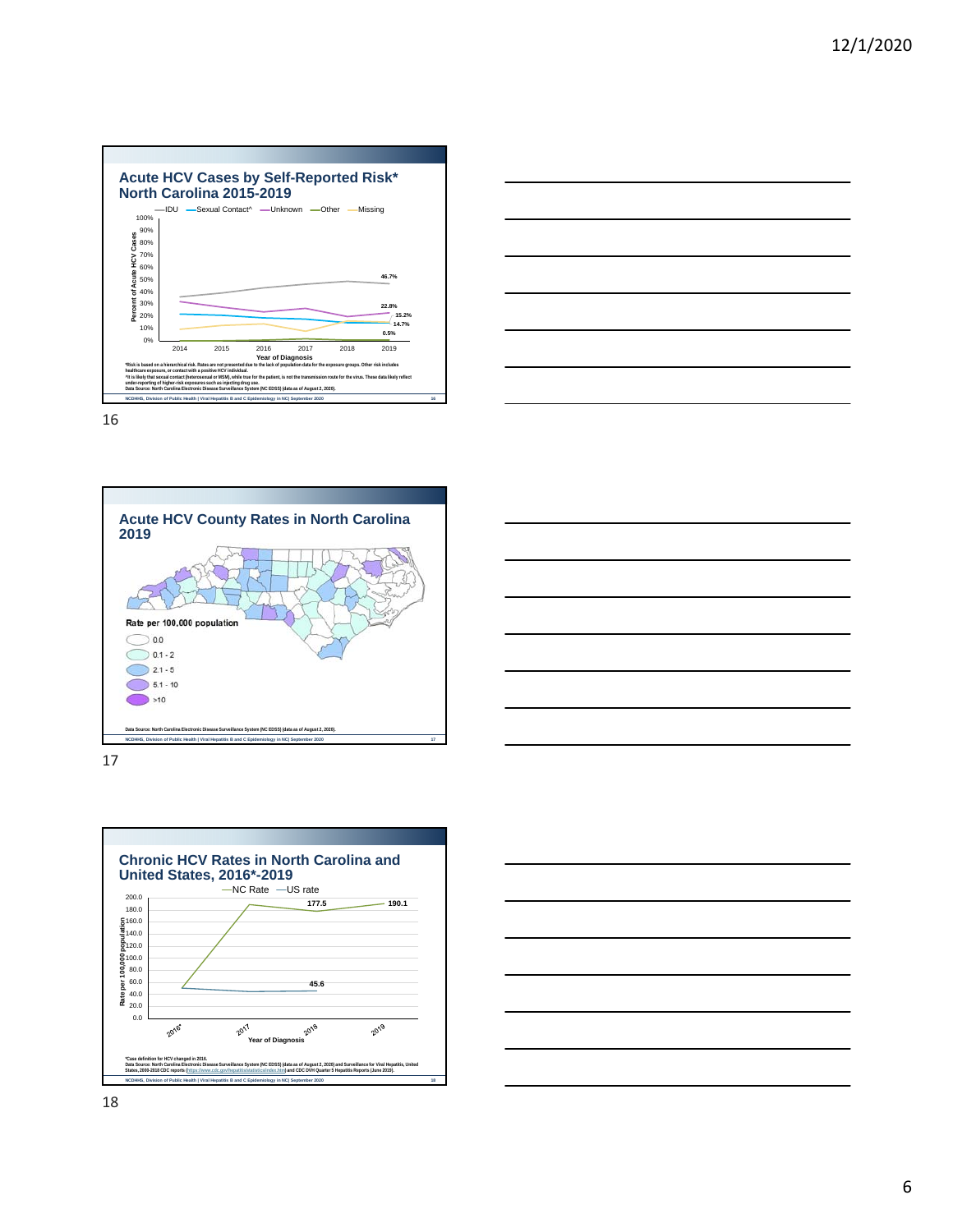









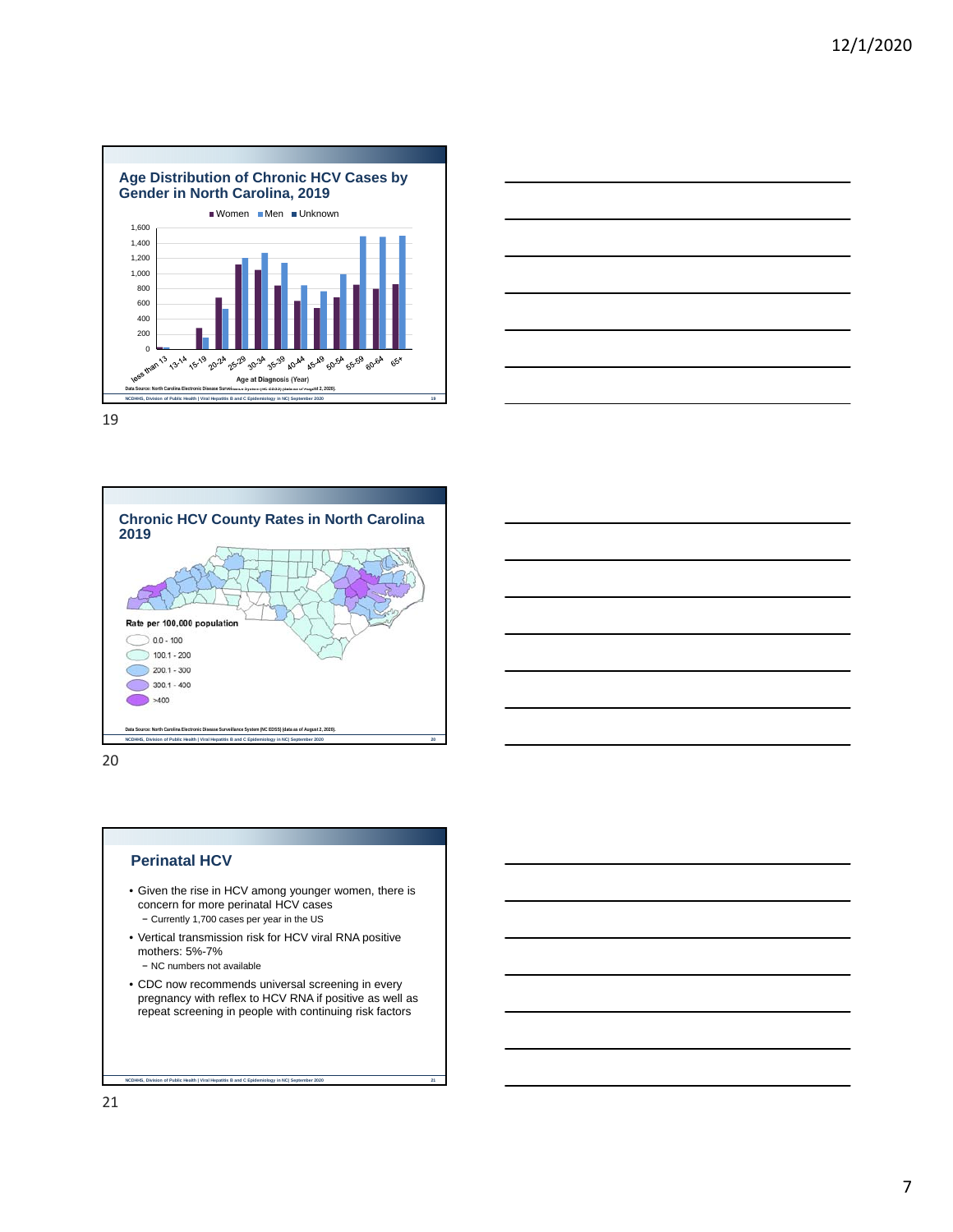





20

#### **Perinatal HCV**

- Given the rise in HCV among younger women, there is concern for more perinatal HCV cases − Currently 1,700 cases per year in the US
- Vertical transmission risk for HCV viral RNA positive mothers: 5%-7%

− NC numbers not available

**NC** Biology in NC| September 2021 **2121 Bearth III Hepatitis B and C Epidemiology in NC| September 2020** 

• CDC now recommends universal screening in every pregnancy with reflex to HCV RNA if positive as well as repeat screening in people with continuing risk factors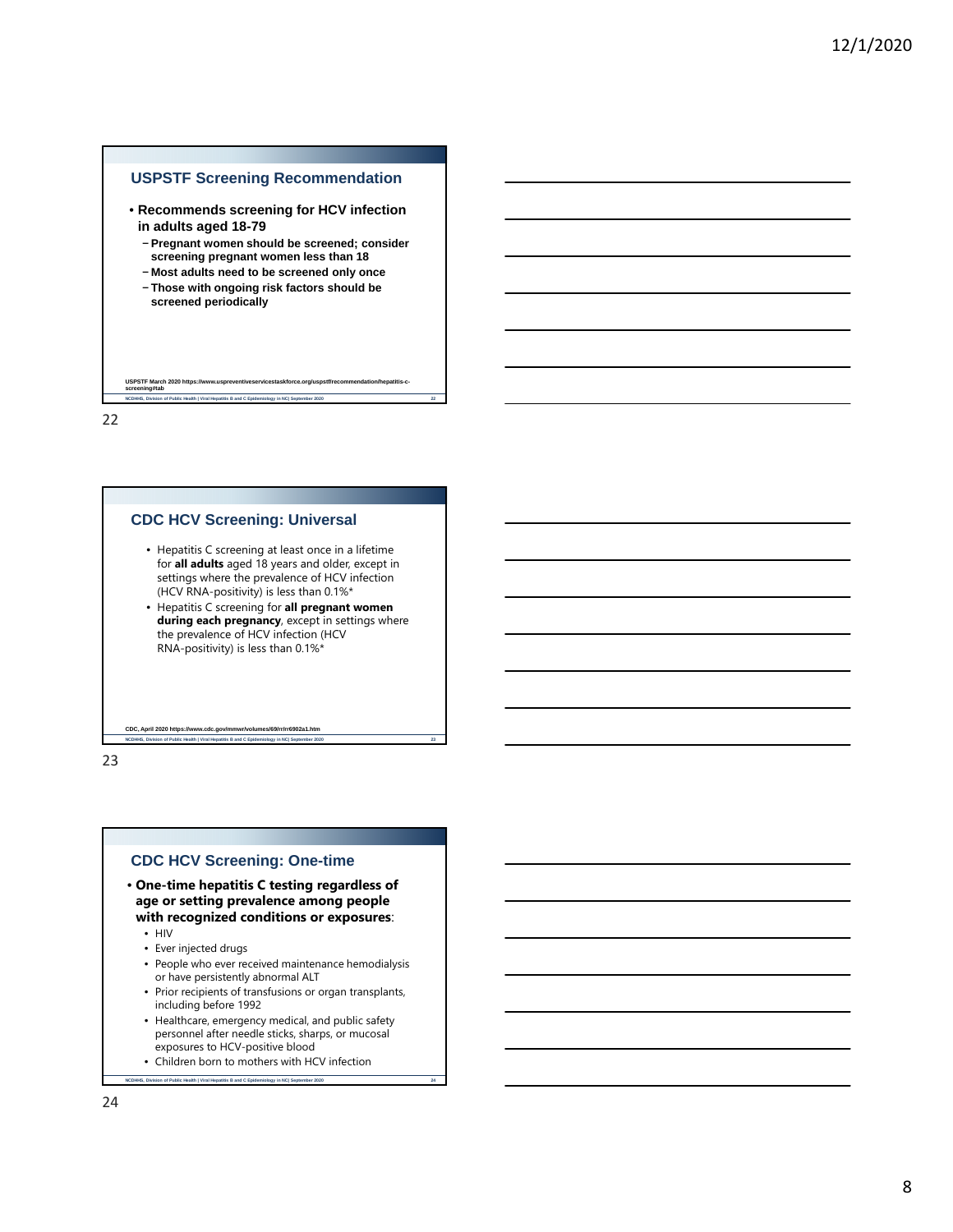## **USPSTF Screening Recommendation**

- **Recommends screening for HCV infection in adults aged 18-79**
	- − **Pregnant women should be screened; consider screening pregnant women less than 18**

**NCDHHS, Division of Public Health | Viral Hepatitis B and C Epidemiology in NC| September 2020 22**

- − **Most adults need to be screened only once**
- − **Those with ongoing risk factors should be screened periodically**

22

**USPSTF March 2020 https: screening#tab**

#### **CDC HCV Screening: Universal**

- Hepatitis C screening at least once in a lifetime for **all adults** aged 18 years and older, except in settings where the prevalence of HCV infection (HCV RNA-positivity) is less than 0.1%\*
- Hepatitis C screening for **all pregnant women during each pregnancy**, except in settings where the prevalence of HCV infection (HCV RNA-positivity) is less than 0.1%\*

**Ith | Viral Hepatitis B and C Epidemiology in NC| September 2020** CDC, April 2020 https://www.cdc.gov/mmwr/volumes/69/rr/rr6902a1.ht

23

#### **CDC HCV Screening: One-time**

- **One-time hepatitis C testing regardless of age or setting prevalence among people with recognized conditions or exposures**:
	- HIV
	- Ever injected drugs
	- People who ever received maintenance hemodialysis or have persistently abnormal ALT
	- Prior recipients of transfusions or organ transplants, including before 1992
	- Healthcare, emergency medical, and public safety personnel after needle sticks, sharps, or mucosal exposures to HCV-positive blood
	- Children born to mothers with HCV infection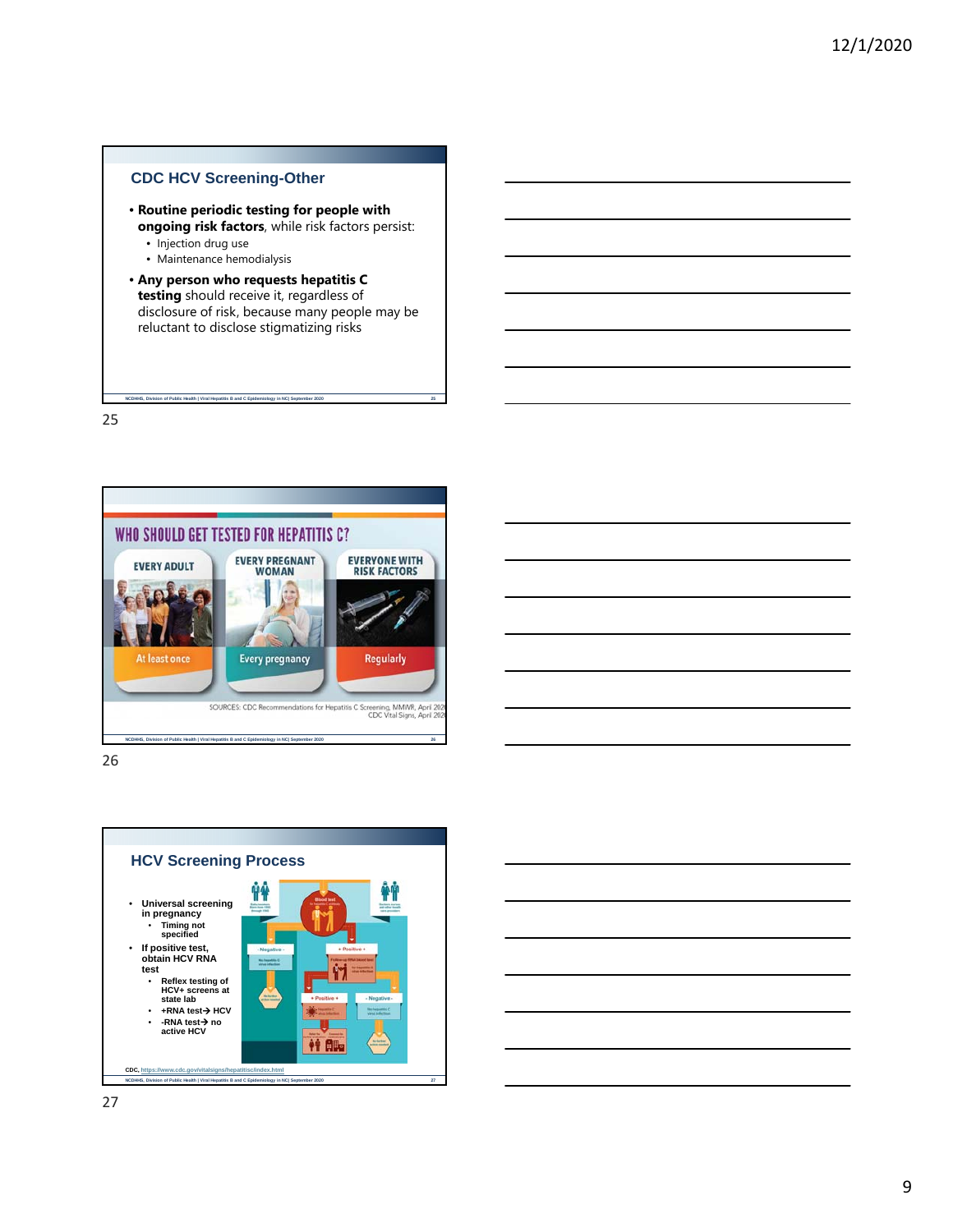

- **Routine periodic testing for people with ongoing risk factors**, while risk factors persist:
	- Injection drug use
	- Maintenance hemodialysis
- **Any person who requests hepatitis C testing** should receive it, regardless of disclosure of risk, because many people may be reluctant to disclose stigmatizing risks

**NCDHHS, Division of Public Health | Viral Hepatitis B and C Epidemiology in NC| September 2020 25**

25



26



27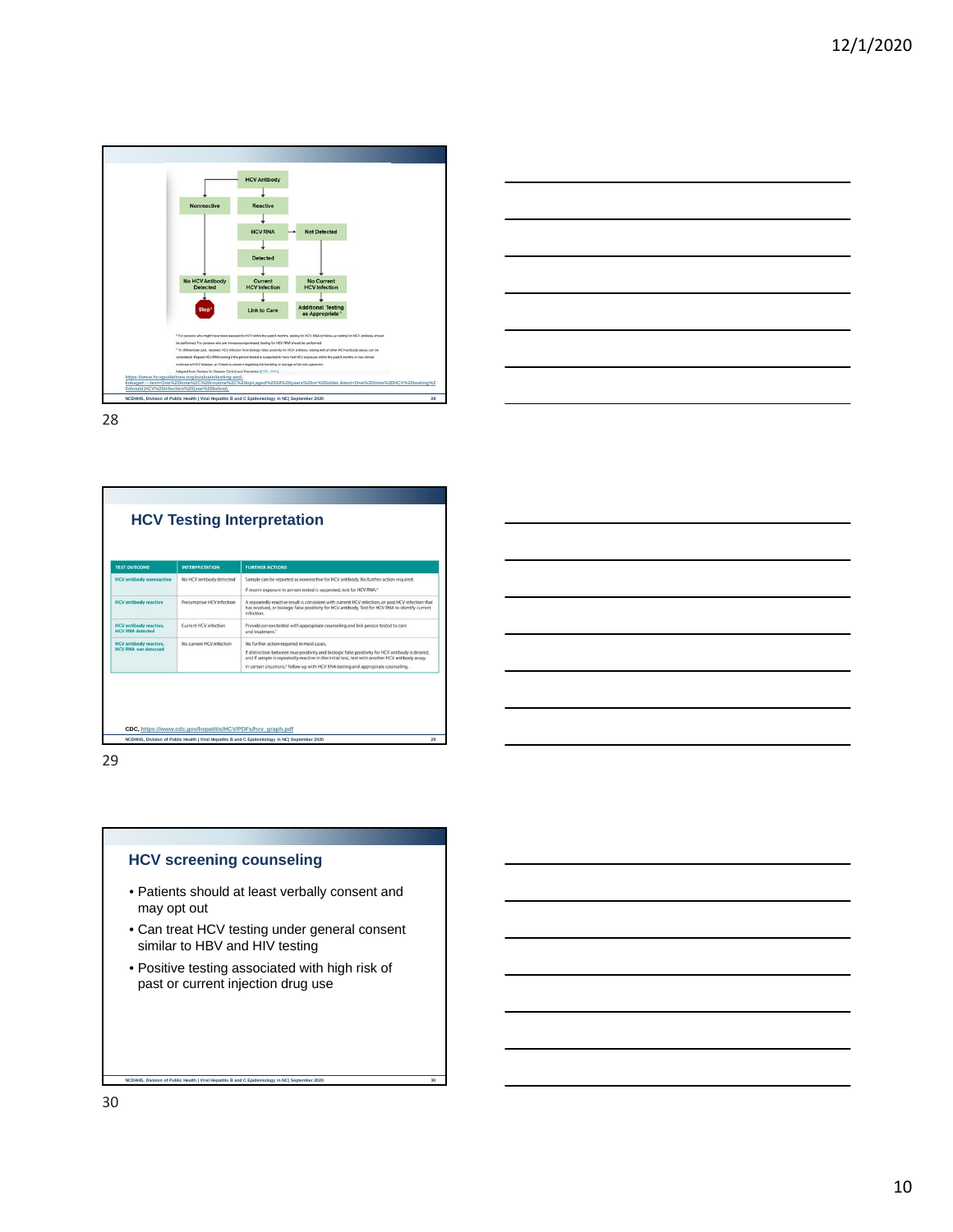



| <b>TEST QUTCOME</b>                                          | <b>INTERPRETATION</b>     | <b>FURTHER ACTIONS</b>                                                                                                                                                                                                                                                                                                                              |
|--------------------------------------------------------------|---------------------------|-----------------------------------------------------------------------------------------------------------------------------------------------------------------------------------------------------------------------------------------------------------------------------------------------------------------------------------------------------|
| <b>HCV</b> antibody nonreactive                              | No HCV antibody detected  | Sample can be reported as nonreactive for HCV antibody. No further action required.<br>If recent exposure in person tested is suspected, test for HCV RNA.*                                                                                                                                                                                         |
| <b>HCV</b> antibody reactive                                 | Presumptive HCV infection | A repeatedly reactive result is consistent with current HCV infection, or past HCV infection that<br>has resolved, or biologic false positivity for HCV antibody. Test for HCV RNA to identify current<br>infection.                                                                                                                                |
| <b>HCV</b> antibody reactive,<br><b>HCV RNA</b> detected     | Current HCV infection     | Provide person tested with appropriate counseling and link person tested to care<br>and treatment. <sup>1</sup>                                                                                                                                                                                                                                     |
| <b>HCV</b> antibody reactive,<br><b>HCV RNA</b> not detected | No current HCV infection  | No further action required in most cases.<br>If distinction between true positivity and biologic false positivity for HCV antibody is desired,<br>and if sample is repeatedly reactive in the initial test, test with another HCV antibody assay.<br>In certain situations, <sup>4</sup> follow up with HCV RNA testing and appropriate counseling. |

29

## **HCV screening counseling**

**NCD Signal Health | Viral Hepatitis B and C Epidemiology in NC| September 2020** 

- Patients should at least verbally consent and may opt out
- Can treat HCV testing under general consent similar to HBV and HIV testing
- Positive testing associated with high risk of past or current injection drug use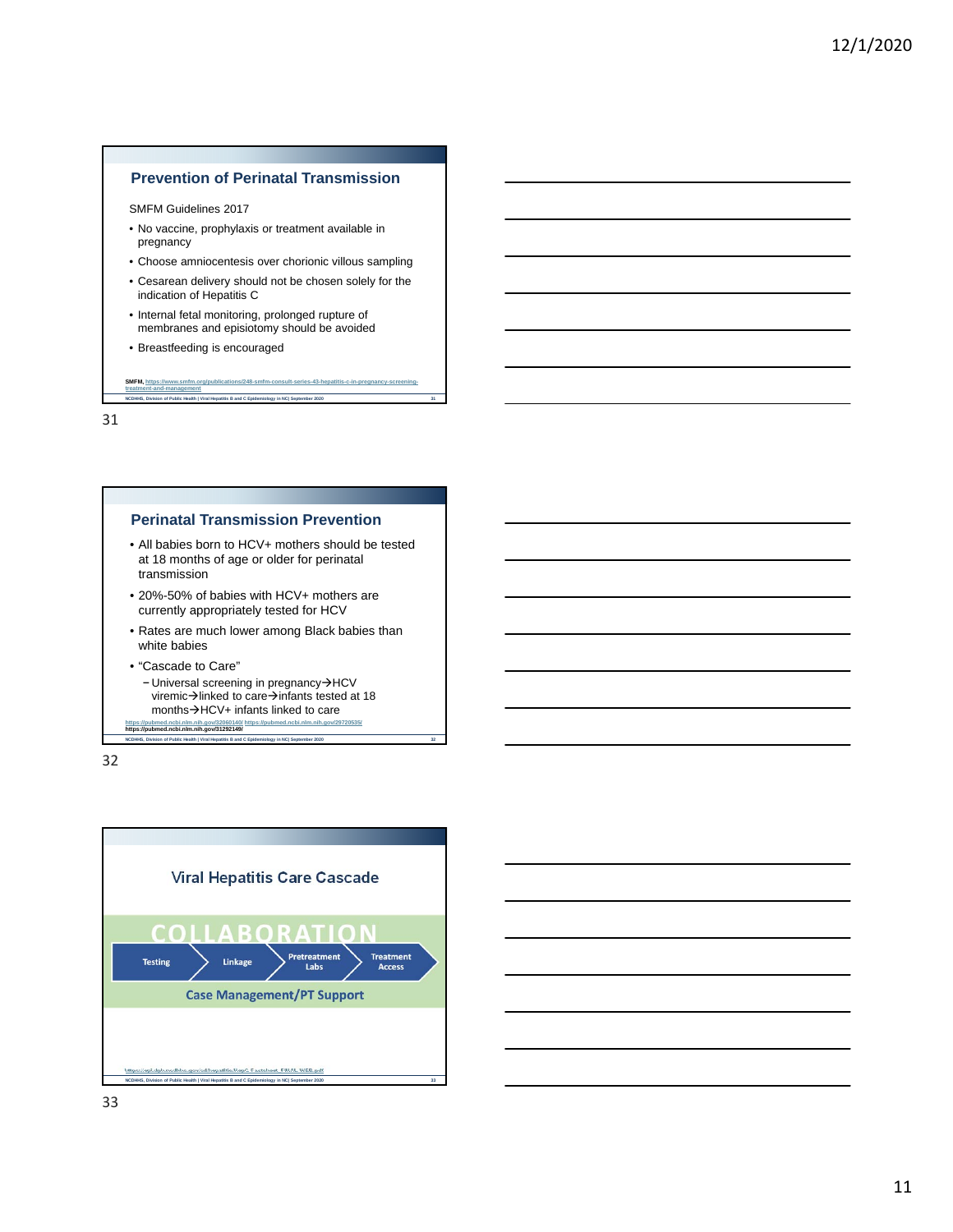## **Prevention of Perinatal Transmission**

SMFM Guidelines 2017

- No vaccine, prophylaxis or treatment available in pregnancy
- Choose amniocentesis over chorionic villous sampling
- Cesarean delivery should not be chosen solely for the indication of Hepatitis C

**NCDHHS, Division of Public Health | Viral Hepatitis B and C Epidemiology in NC| September 2020 31**

**SMFM, https://www.smfm.org/publications/248-smfm-consult-series-43-hepatitis-c-in-pregnancy-screening-**

- Internal fetal monitoring, prolonged rupture of membranes and episiotomy should be avoided
- Breastfeeding is encouraged

**treatment-and-management**

31

#### **Perinatal Transmission Prevention**

- All babies born to HCV+ mothers should be tested at 18 months of age or older for perinatal transmission
- 20%-50% of babies with HCV+ mothers are currently appropriately tested for HCV
- Rates are much lower among Black babies than white babies
- "Cascade to Care"
- − Universal screening in pregnancy→HCV viremic $\rightarrow$ linked to care $\rightarrow$ infants tested at 18 months $\rightarrow$ HCV+ infants linked to care **https://pubmed.ncbi.nlm.nih.gov/32060140/ https://pubmed.ncbi.nlm.nih.gov/29720535/ https://pubmed.ncbi.nlm.nih.gov/31292149/**

**NCD Health | Viral Hepatitis B and C Epidemiology in NC| September 2021** 



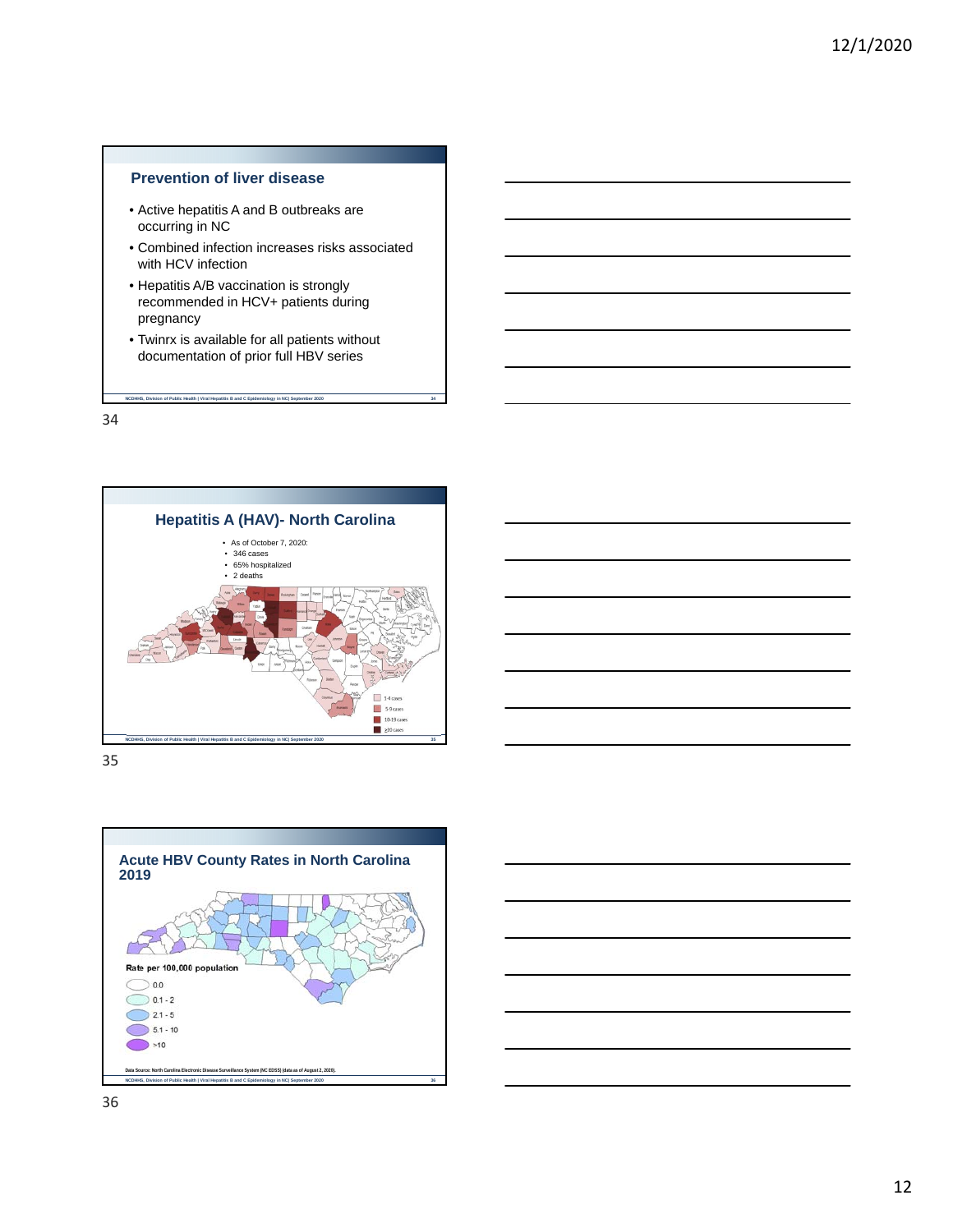## **Prevention of liver disease**

- Active hepatitis A and B outbreaks are occurring in NC
- Combined infection increases risks associated with HCV infection
- Hepatitis A/B vaccination is strongly recommended in HCV+ patients during pregnancy
- Twinrx is available for all patients without documentation of prior full HBV series

**NCDHHS, Division of Public Health | Viral Hepatitis B and C Epidemiology in NC| September 2020 34**

34



35



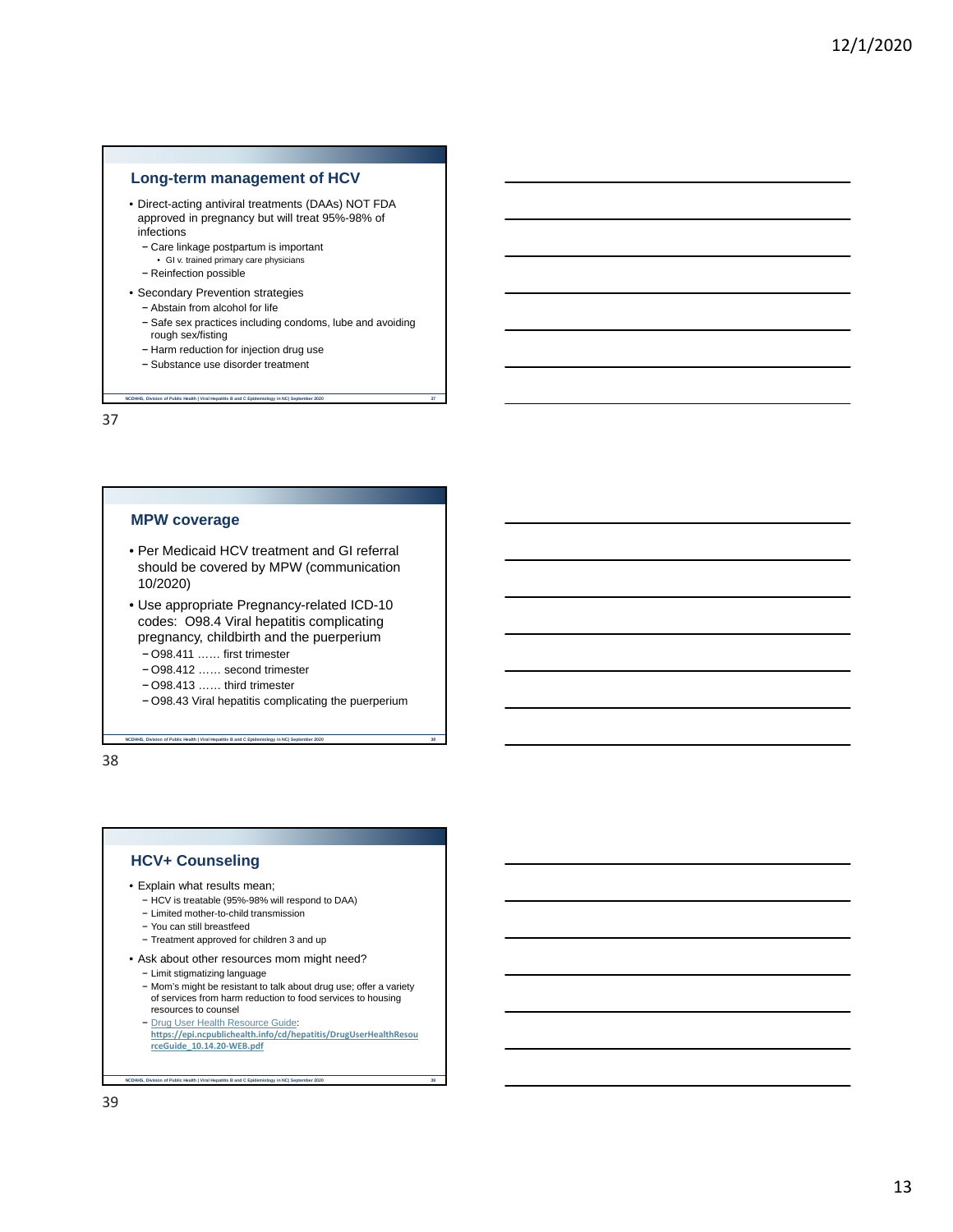## **Long-term management of HCV**

- Direct-acting antiviral treatments (DAAs) NOT FDA approved in pregnancy but will treat 95%-98% of infections
	- − Care linkage postpartum is important
	- GI v. trained primary care physicians − Reinfection possible
	-
- Secondary Prevention strategies
	- − Abstain from alcohol for life
	- − Safe sex practices including condoms, lube and avoiding rough sex/fisting

**NCDHHS, Division of Public Health | Viral Hepatitis B and C Epidemiology in NC| September 2020 37**

- − Harm reduction for injection drug use
- − Substance use disorder treatment

37

#### **MPW coverage**

- Per Medicaid HCV treatment and GI referral should be covered by MPW (communication 10/2020)
- Use appropriate Pregnancy-related ICD-10 codes: O98.4 Viral hepatitis complicating pregnancy, childbirth and the puerperium
	- − O98.411 …… first trimester
	- − O98.412 …… second trimester

**NS, Division of Public Health | Viral Hepatitis B and C Epidemiology in NC| September 2020** 

- − O98.413 …… third trimester
- − O98.43 Viral hepatitis complicating the puerperium

38

#### **HCV+ Counseling**

- Explain what results mean;
	- − HCV is treatable (95%-98% will respond to DAA)
	- − Limited mother-to-child transmission
	- − You can still breastfeed
	- − Treatment approved for children 3 and up
- Ask about other resources mom might need?
	- − Limit stigmatizing language
	- − Mom's might be resistant to talk about drug use; offer a variety of services from harm reduction to food services to housing resources to counsel
	-

**NCD Sides Inc. Act Archael Health | Viral Hepatitis B and C Epidemiology in NC| September 2020** 

− Drug User Health Resource Guide: **https://epi.ncpublichealth.info/cd/hepatitis/DrugUserHealthResou rceGuide\_10.14.20‐WEB.pdf**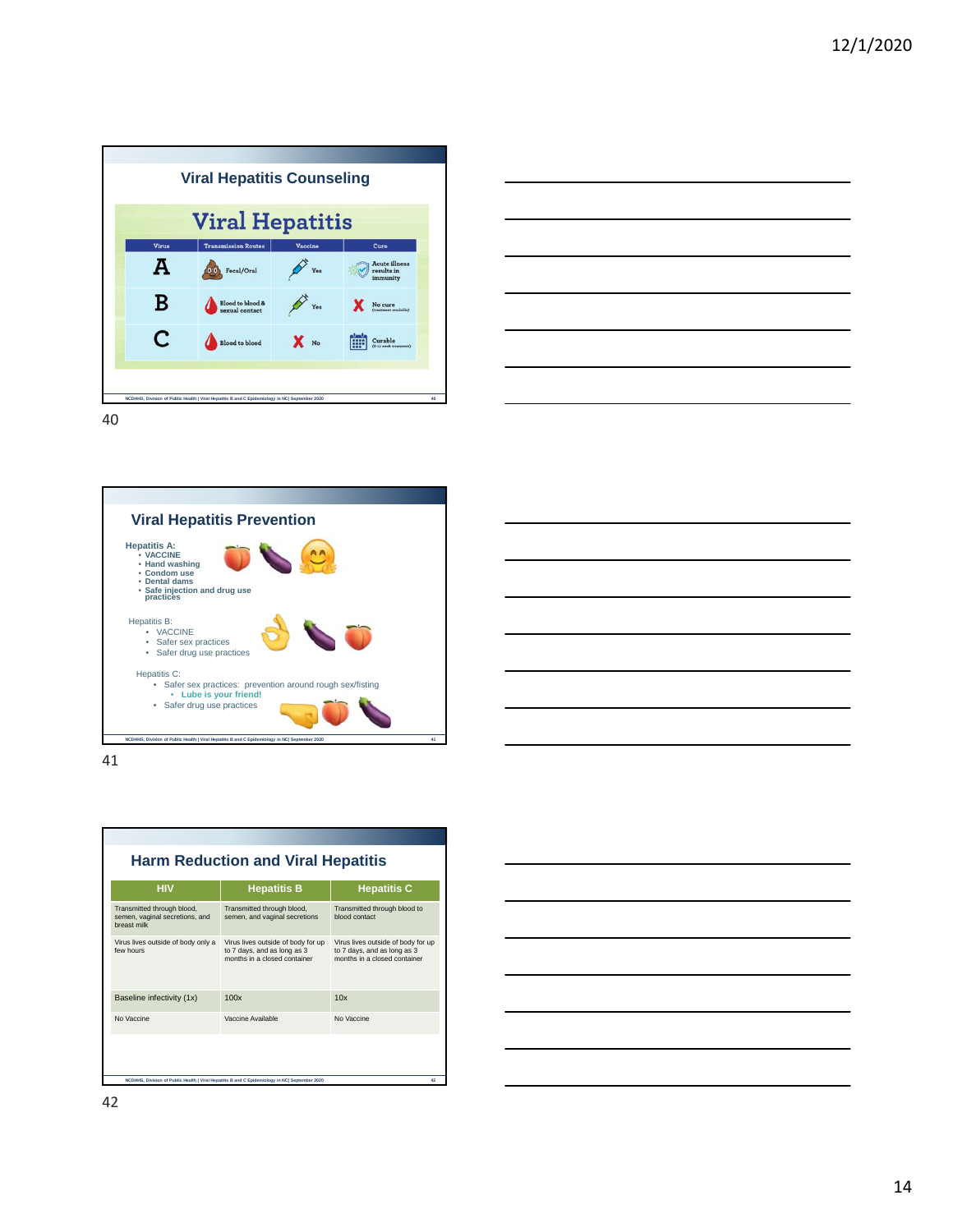|       | <b>Viral Hepatitis</b>                    |                 |                                                |
|-------|-------------------------------------------|-----------------|------------------------------------------------|
| Virus | <b>Transmission Routes</b>                | Vaccine         | Cure                                           |
| A     | Fecal/Oral                                | Yes             | <b>Acute illness</b><br>results in<br>immunity |
| в     | <b>Blood</b> to blood &<br>sexual contact | Yes             | No cure<br>(treatment available)               |
| C     | <b>Blood</b> to blood                     | $\mathbf{X}$ No | Curable<br>(8-13 week treatment)               |

| <u> Alexandro de la contrada de la contrada de la contrada de la contrada de la contrada de la contrada de la con</u> |                                                                                                                      |
|-----------------------------------------------------------------------------------------------------------------------|----------------------------------------------------------------------------------------------------------------------|
|                                                                                                                       |                                                                                                                      |
|                                                                                                                       |                                                                                                                      |
|                                                                                                                       |                                                                                                                      |
|                                                                                                                       |                                                                                                                      |
|                                                                                                                       |                                                                                                                      |
|                                                                                                                       |                                                                                                                      |
|                                                                                                                       |                                                                                                                      |
|                                                                                                                       |                                                                                                                      |
|                                                                                                                       |                                                                                                                      |
|                                                                                                                       |                                                                                                                      |
|                                                                                                                       | <u> Andreas Andreas Andreas Andreas Andreas Andreas Andreas Andreas Andreas Andreas Andreas Andreas Andreas Andr</u> |
|                                                                                                                       |                                                                                                                      |
| and the control of the control of the                                                                                 |                                                                                                                      |



41



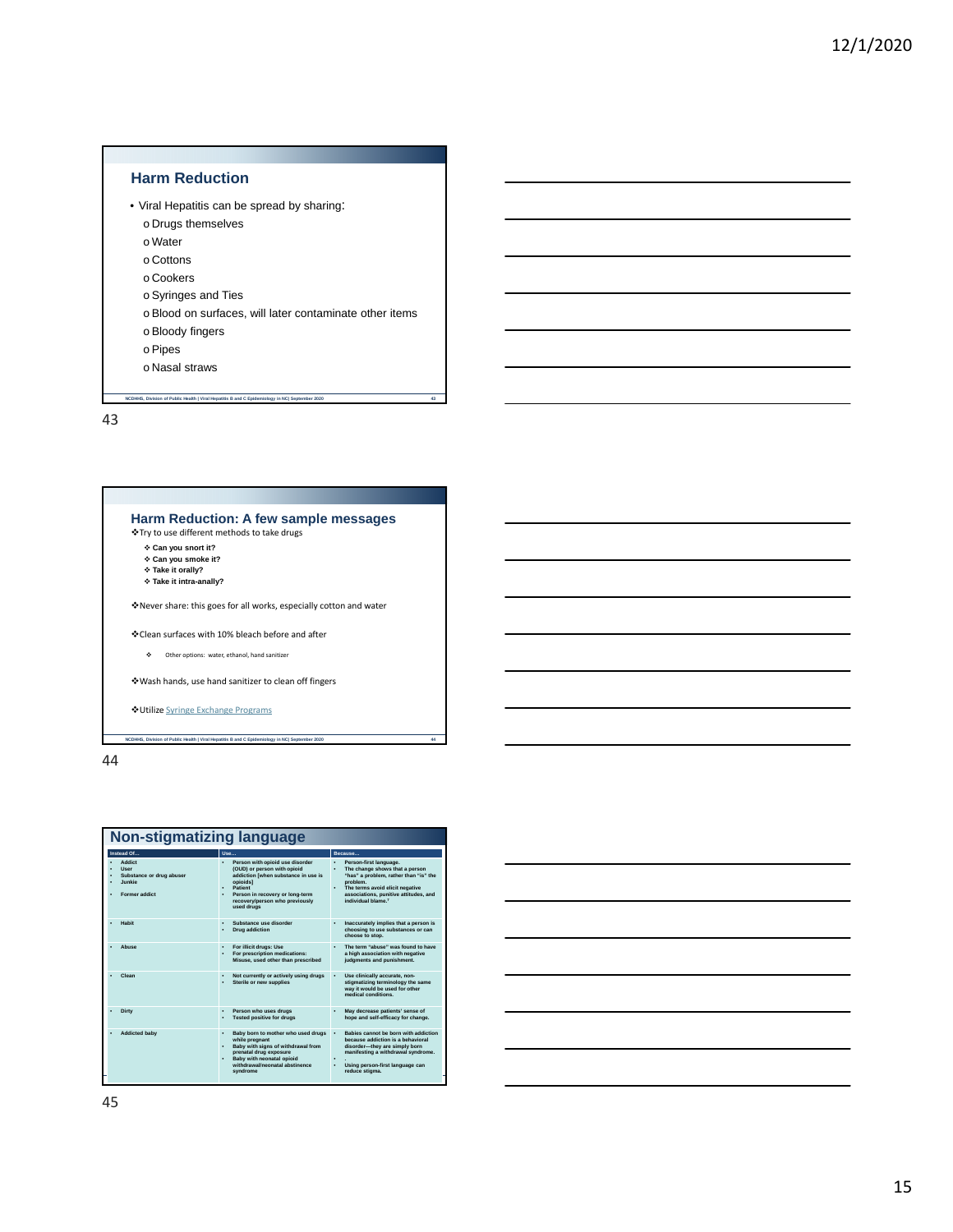## **Harm Reduction**

- Viral Hepatitis can be spread by sharing:
	- o Drugs themselves
	- o Water
	- o Cottons
	- o Cookers
	- o Syringes and Ties
	- o Blood on surfaces, will later contaminate other items
	- o Bloody fingers
	- o Pipes
	- o Nasal straws
	- **nch** of Public Health | Viral Hepatitis B and C Epidemiology in NC| September 2020

43

| Harm Reduction: A few sample messages<br>Iry to use different methods to take drugs ↓<br>❖ Can you snort it?<br>❖ Can you smoke it?<br>* Take it orally?<br>❖ Take it intra-anally? |  |
|-------------------------------------------------------------------------------------------------------------------------------------------------------------------------------------|--|
| *Never share: this goes for all works, especially cotton and water                                                                                                                  |  |
| ❖ Clean surfaces with 10% bleach before and after                                                                                                                                   |  |
| ۰<br>Other options: water, ethanol, hand sanitizer                                                                                                                                  |  |
| ❖ Wash hands, use hand sanitizer to clean off fingers                                                                                                                               |  |
| <b>◆Utilize Syringe Exchange Programs</b>                                                                                                                                           |  |
| NCDHHS. Division of Public Health   Viral Hepatitis B and C Epidemiology in NCI September 2020                                                                                      |  |

E 44

| Non-stigmatizing language                                                                  |                                                                                                                                                                                                                 |                                                                                                                                                                                                                                                          |  |  |
|--------------------------------------------------------------------------------------------|-----------------------------------------------------------------------------------------------------------------------------------------------------------------------------------------------------------------|----------------------------------------------------------------------------------------------------------------------------------------------------------------------------------------------------------------------------------------------------------|--|--|
| Instead Of                                                                                 | Use                                                                                                                                                                                                             | Because                                                                                                                                                                                                                                                  |  |  |
| <b>Addict</b><br><b>User</b><br>Substance or drug abuser<br><b>Junkie</b><br>Former addict | Person with opioid use disorder<br>(OUD) or person with opioid<br>addiction (when substance in use is<br>opioids1<br>Patient<br>Person in recovery or long-term<br>recovery/person who previously<br>used drugs | Person-first language.<br>$\ddot{\phantom{0}}$<br>The change shows that a person<br>"has" a problem, rather than "is" the<br>problem.<br>٠<br>The terms avoid elicit negative<br>associations, punitive attitudes, and<br>individual blame. <sup>7</sup> |  |  |
| Habit                                                                                      | Substance use disorder<br><b>Drug addiction</b>                                                                                                                                                                 | Inaccurately implies that a person is<br>٠<br>choosing to use substances or can<br>choose to stop.                                                                                                                                                       |  |  |
| Abuse                                                                                      | For illicit drugs: Use<br>For prescription medications:<br>Misuse, used other than prescribed                                                                                                                   | The term "abuse" was found to have<br>٠<br>a high association with negative<br>judgments and punishment.                                                                                                                                                 |  |  |
| Clean                                                                                      | Not currently or actively using drugs<br>٠<br>Sterile or new supplies                                                                                                                                           | Use clinically accurate, non-<br>stigmatizing terminology the same<br>way it would be used for other<br>medical conditions.                                                                                                                              |  |  |
| Dirty                                                                                      | Person who uses drugs<br><b>Tested positive for drugs</b>                                                                                                                                                       | May decrease patients' sense of<br>hope and self-efficacy for change.                                                                                                                                                                                    |  |  |
| <b>Addicted baby</b>                                                                       | Baby born to mother who used drugs<br>٠<br>while pregnant<br>Baby with signs of withdrawal from<br>prenatal drug exposure<br>Baby with neonatal opioid<br>withdrawal/neonatal abstinence<br>syndrome            | Babies cannot be born with addiction<br>$\cdot$<br>because addiction is a behavioral<br>disorder-they are simply born<br>manifesting a withdrawal syndrome.<br>٠<br>$\ddot{\phantom{0}}$<br>Using person-first language can<br>reduce stigma.            |  |  |

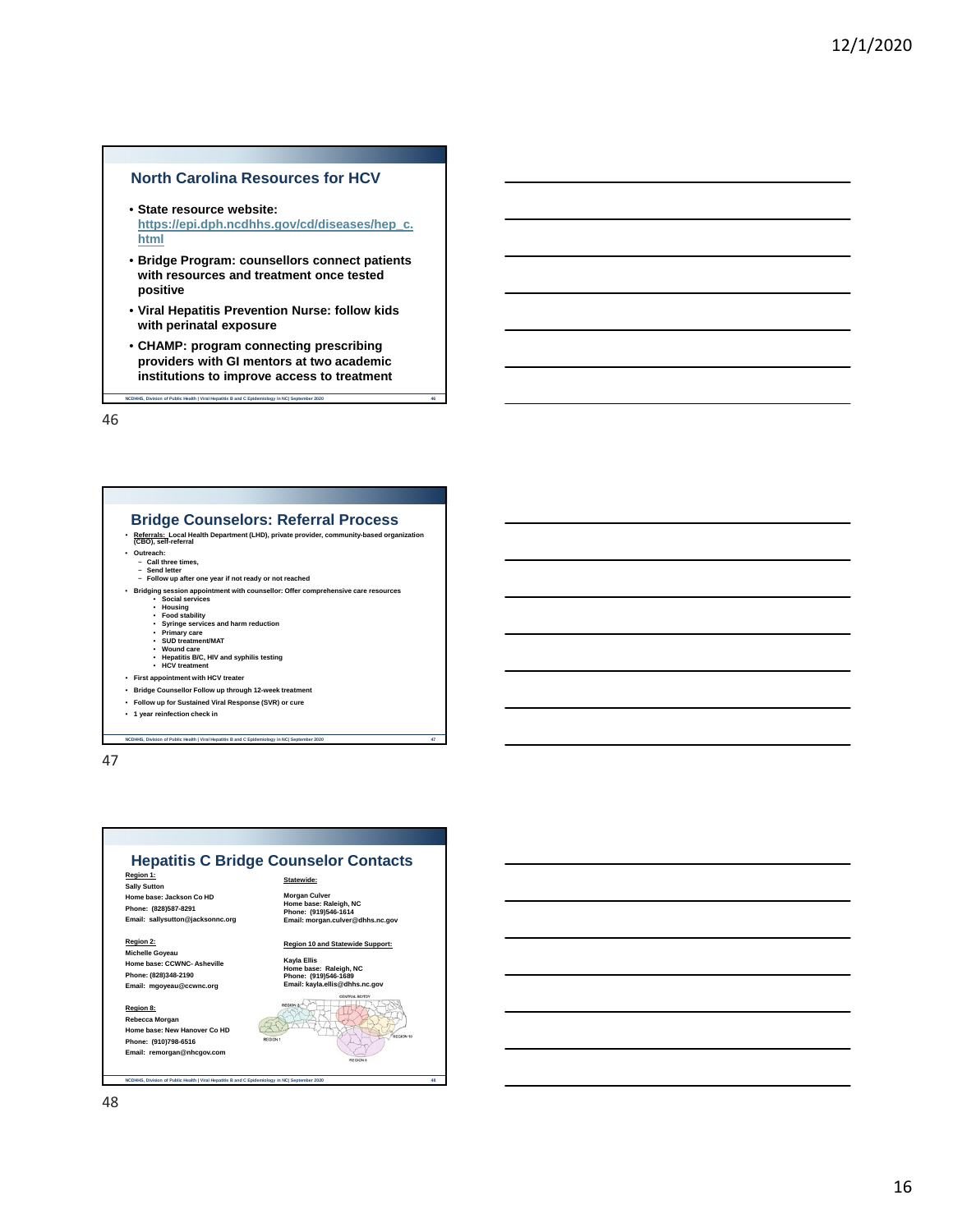## **North Carolina Resources for HCV**

- **State resource website: https://epi.dph.ncdhhs.gov/cd/diseases/hep\_c. html**
- **Bridge Program: counsellors connect patients with resources and treatment once tested positive**
- **Viral Hepatitis Prevention Nurse: follow kids with perinatal exposure**
- **CHAMP: program connecting prescribing providers with GI mentors at two academic institutions to improve access to treatment**

**NCDHHS, Division of Public Health | Viral Hepatitis B and C Epidemiology in NC| September 2020 46**

46

#### **Bridge Counselors: Referral Process**

- **Referrals: Local Health Department (LHD), private provider, community-based organization (CBO), self-referral**
- -
- **Outreach:** − **Call three times,** − **Send letter** − **Follow up after one year if not ready or not reached**
- Bridging session appointment with counsellor: Offer comprehensive care resources<br>• Housing<br>• Food stability<br>• Syring services and harm reduction<br>• Primary care<br>• SUD treatment/MAT<br>• SUD treatment/MAT
	-
	-
	-
	-
	- **Wound care Hepatitis B/C, HIV and syphilis testing HCV treatment**
- **First appointment with HCV treater**
- **Bridge Counsellor Follow up through 12-week treatment**
- **Follow up for Sustained Viral Response (SVR) or cure**
- **1 year reinfection check in**

**NCDHHS, Division of Public Health | Viral Hepatitis B and C Epidemiology in NC| September 2020 47**

47

#### **Hepatitis C Bridge Counselor Contacts Region 1: Sally Sutton Home base: Jackson Co HD Phone: (828)587-8291 Email: sallysutton@jacksonnc.org Statewide: Morgan Culver Home base: Raleigh, NC Phone: (919)546-1614 Email: morgan.culver@dhhs.nc.gov**

**Region 2: Michelle Goyeau Home base: CCWNC- Asheville Phone: (828)348-2190 Email: mgoyeau@ccwnc.org**

**Region 8: Rebecca Morgan Home base: New Hanover Co HD Phone: (910)798-6516 Email: remorgan@nhcgov.com**

**NCDHHS, Division of Public Health | Viral Hepatitis B and C Epidemiology in NC| Sep** 

#### **Region 10 and Statewide Support:**

**Kayla Ellis Home base: Raleigh, NC Phone: (919)546-1689 Email: kayla.ellis@dhhs.nc.gov**